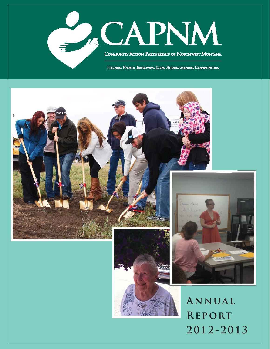

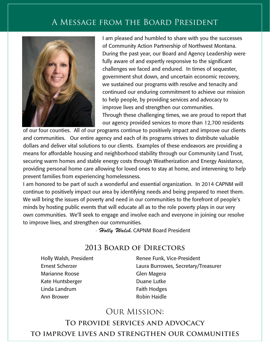# A Message from the Board President



 I am pleased and humbled to share with you the successes of Community Action Partnership of Northwest Montana. During the past year, our Board and Agency Leadership were fully aware of and expertly responsive to the significant challenges we faced and endured. In times of sequester, government shut down, and uncertain economic recovery, we sustained our programs with resolve and tenacity and continued our enduring commitment to achieve our mission to help people, by providing services and advocacy to improve lives and strengthen our communities. Through these challenging times, we are proud to report that our agency provided services to more than 12,700 residents

of our four counties. All of our programs continue to positively impact and improve our clients and communities. Our entire agency and each of its programs strives to distribute valuable dollars and deliver vital solutions to our clients. Examples of these endeavors are providing a means for affordable housing and neighborhood stability through our Community Land Trust, securing warm homes and stable energy costs through Weatherization and Energy Assistance, providing personal home care allowing for loved ones to stay at home, and intervening to help prevent families from experiencing homelessness.

I am honored to be part of such a wonderful and essential organization. In 2014 CAPNM will continue to positively impact our area by identifying needs and being prepared to meet them. We will bring the issues of poverty and need in our communities to the forefront of people's minds by hosting public events that will educate all as to the role poverty plays in our very own communities. We'll seek to engage and involve each and everyone in joining our resolve to improve lives, and strengthen our communities.

- *Holly Walsh*, CAPNM Board President

### **2013 Board of Directors**

Holly Walsh, President Ernest Scherzer Marianne Roose Kate Huntsberger Linda Landrum Ann Brower

Renee Funk, Vice-President Laura Burrowes, Secretary/Treasurer Glen Magera Duane Lutke Faith Hodges Robin Haidle

## Our Mission:

**To provide services and advocacy to improve lives and strengthen our communities**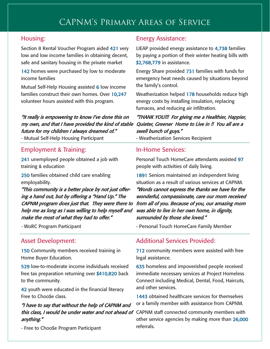#### Housing:

Section 8 Rental Voucher Program aided 421 very low and low income families in obtaining decent, safe and sanitary housing in the private market

142 homes were purchased by low to moderate income families

Mutual Self-Help Housing assisted 6 low income families construct their own homes. Over 10,247 volunteer hours assisted with this program.

"It really is empowering to know I've done this on my own, and that I have provided the kind of stable future for my children I always dreamed of." - Mutual Self-Help Housing Participant

#### Employment & Training:

241 unemployed people obtained a job with training & education

250 families obtained child care enabling employability.

"This community is a better place by not just offering a hand out, but by offering a "Hand Up." The CAPNM program does just that. They were there to help me as long as I was willing to help myself and make the most of what they had to offer."

- WoRC Program Participant

#### Asset Development:

150 Community members received training in Home Buyer Education.

529 low-to-moderate income individuals received free tax preparation returning over \$410,820 back to the community.

42 youth were educated in the financial literacy Free to Choo\$e class.

#### "I have to say that without the help of CAPNM and this class, I would be under water and not ahead of CAPNM staff connected community members with anything."

- Free to Choo\$e Program Participant

#### Energy Assistance:

LIEAP provided energy assistance to 4,738 families by paying a portion of their winter heating bills with \$2,768,779 in assistance.

Energy Share provided 731 families with funds for emergency heat needs caused by situations beyond the family's control.

Weatherization helped 178 households reduce high energy costs by installing insulation, replacing furnaces, and reducing air infiltration.

#### "THANK YOU!!! For giving me a Healthier, Happier, Quieter, Greener Home to Live in !! You all are a swell bunch of guys."

- Weatherization Services Recipient

#### In-Home Services:

Personal Touch HomeCare attendants assisted 97 people with activities of daily living.

1891 Seniors maintained an independent living situation as a result of various services at CAPNM.

"Words cannot express the thanks we have for the wonderful, compassionate, care our mom received from all of you. Because of you, our amazing mom was able to live in her own home, in dignity, surrounded by those she loved."

- Personal Touch HomeCare Family Member

#### Additional Services Provided:

712 community members were assisted with free legal assistance.

635 homeless and impoverished people received immediate necessary services at Project Homeless Connect including Medical, Dental, Food, Haircuts, and other services.

1443 obtained healthcare services for themselves or a family member with assistance from CAPNM.

other service agencies by making more than 26,000 referrals.